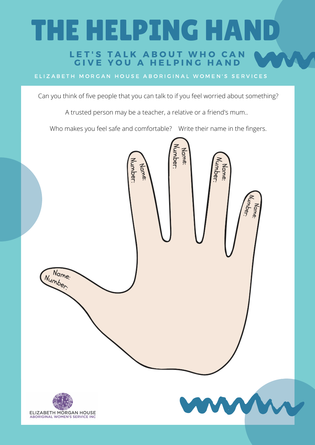# THE HELPING HAND

#### LET'S TALK ABOUT WHO CAN GIVE YOU A HELPING HAND

ELIZABETH MORGAN HOUSE ABORIGINAL WOMEN'S SERVICES

Can you think of five people that you can talk to if you feel worried about something?

A trusted person may be a teacher, a relative or a friend's mum..

Who makes you feel safe and comfortable? Write their name in the fingers.